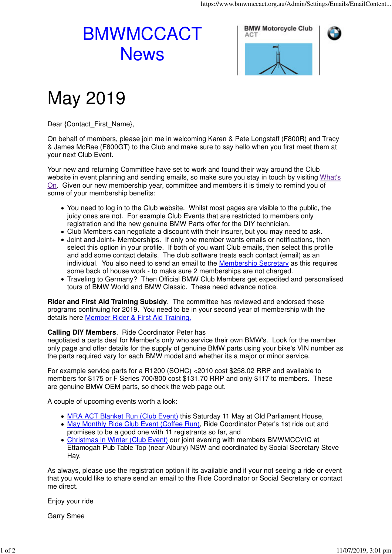## BMWMCCACT **News**



## May 2019

Dear {Contact\_First\_Name},

On behalf of members, please join me in welcoming Karen & Pete Longstaff (F800R) and Tracy & James McRae (F800GT) to the Club and make sure to say hello when you first meet them at your next Club Event.

Your new and returning Committee have set to work and found their way around the Club website in event planning and sending emails, so make sure you stay in touch by visiting What's On. Given our new membership year, committee and members it is timely to remind you of some of your membership benefits:

- You need to log in to the Club website. Whilst most pages are visible to the public, the juicy ones are not. For example Club Events that are restricted to members only registration and the new genuine BMW Parts offer for the DIY technician.
- Club Members can negotiate a discount with their insurer, but you may need to ask.
- Joint and Joint+ Memberships. If only one member wants emails or notifications, then select this option in your profile. If both of you want Club emails, then select this profile and add some contact details. The club software treats each contact (email) as an individual. You also need to send an email to the Membership Secretary as this requires some back of house work - to make sure 2 memberships are not charged.
- Traveling to Germany? Then Official BMW Club Members get expedited and personalised tours of BMW World and BMW Classic. These need advance notice.

**Rider and First Aid Training Subsidy**. The committee has reviewed and endorsed these programs continuing for 2019. You need to be in your second year of membership with the details here Member Rider & First Aid Training.

## **Calling DIY Members**. Ride Coordinator Peter has

negotiated a parts deal for Member's only who service their own BMW's. Look for the member only page and offer details for the supply of genuine BMW parts using your bike's VIN number as the parts required vary for each BMW model and whether its a major or minor service.

For example service parts for a R1200 (SOHC) <2010 cost \$258.02 RRP and available to members for \$175 or F Series 700/800 cost \$131.70 RRP and only \$117 to members. These are genuine BMW OEM parts, so check the web page out.

A couple of upcoming events worth a look:

- MRA ACT Blanket Run (Club Event) this Saturday 11 May at Old Parliament House,
- May Monthly Ride Club Event (Coffee Run), Ride Coordinator Peter's 1st ride out and promises to be a good one with 11 registrants so far, and
- Christmas in Winter (Club Event) our joint evening with members BMWMCCVIC at Ettamogah Pub Table Top (near Albury) NSW and coordinated by Social Secretary Steve Hay.

As always, please use the registration option if its available and if your not seeing a ride or event that you would like to share send an email to the Ride Coordinator or Social Secretary or contact me direct.

Enjoy your ride

Garry Smee